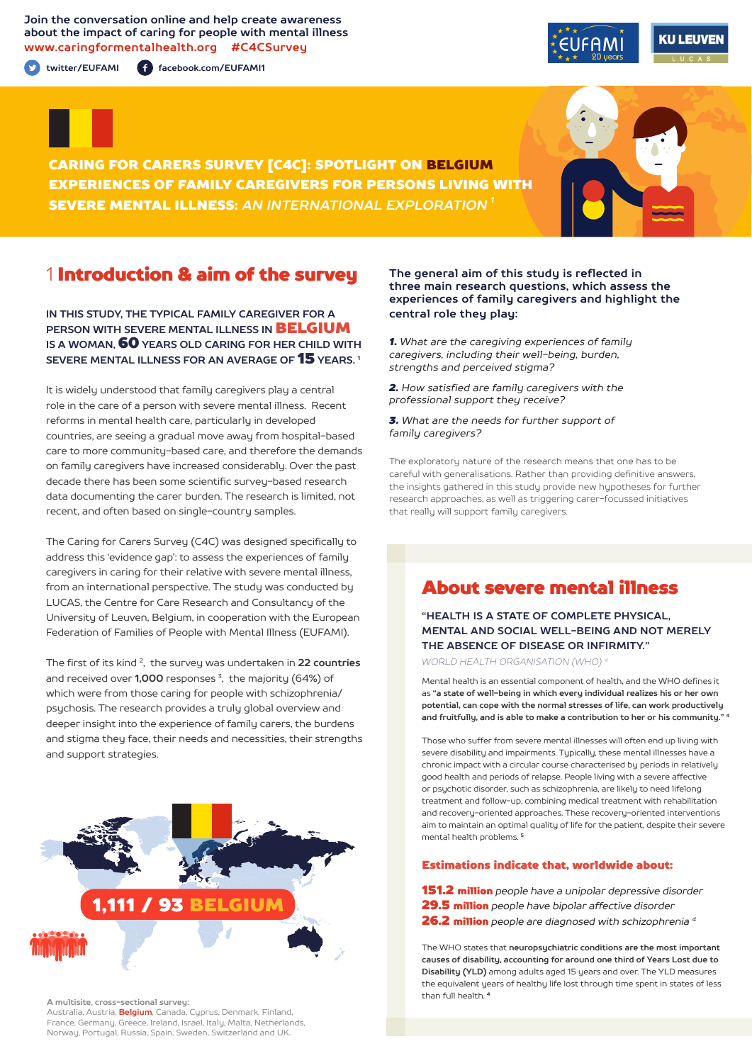**Join the conversation online and help create awareness about the impact of caring for people with mental illness www.caringformentalhealth.org #C4CSurvey**

**twitter/EUFAMI facebook.com/EUFAMI1**





CARING FOR CARERS SURVEY [C4C]: SPOTLIGHT ON BELGIUM EXPERIENCES OF FAMILY CAREGIVERS FOR PERSONS LIVING WITH SEVERE MENTAL ILLNESS: *AN INTERNATIONAL EXPLORATION 1*

# 1 Introduction & aim of the survey

**IN THIS STUDY, THE TYPICAL FAMILY CAREGIVER FOR A PERSON WITH SEVERE MENTAL ILLNESS IN** BELGIUM **IS A WOMAN,** 60 **YEARS OLD CARING FOR HER CHILD WITH SEVERE MENTAL ILLNESS FOR AN AVERAGE OF** 15 **YEARS. 1**

It is widely understood that family caregivers play a central role in the care of a person with severe mental illness. Recent reforms in mental health care, particularly in developed countries, are seeing a gradual move away from hospital-based care to more community-based care, and therefore the demands on family caregivers have increased considerably. Over the past decade there has been some scientific survey-based research data documenting the carer burden. The research is limited, not recent, and often based on single-country samples.

The Caring for Carers Survey (C4C) was designed specifically to address this 'evidence gap': to assess the experiences of family caregivers in caring for their relative with severe mental illness, from an international perspective. The study was conducted by LUCAS, the Centre for Care Research and Consultancy of the University of Leuven, Belgium, in cooperation with the European Federation of Families of People with Mental Illness (EUFAMI).

The first of its kind 2, the survey was undertaken in **22 countries** and received over **1,000** responses 3, the majority (64%) of which were from those caring for people with schizophrenia/ psychosis. The research provides a truly global overview and deeper insight into the experience of family carers, the burdens and stigma they face, their needs and necessities, their strengths and support strategies.



**A multisite, cross-sectional survey:** 

Australia, Austria, **Belgium**, Canada, Cyprus, Denmark, Finland, France, Germany, Greece, Ireland, Israel, Italy, Malta, Netherlands, Norway, Portugal, Russia, Spain, Sweden, Switzerland and UK.

#### **The general aim of this study is reflected in three main research questions, which assess the experiences of family caregivers and highlight the central role they play:**

*1. What are the caregiving experiences of family caregivers, including their well-being, burden, strengths and perceived stigma?*

*2. How satisfied are family caregivers with the professional support they receive?*

*3. What are the needs for further support of family caregivers?*

The exploratory nature of the research means that one has to be careful with generalisations. Rather than providing definitive answers, the insights gathered in this study provide new hypotheses for further research approaches, as well as triggering carer-focussed initiatives that really will support family caregivers.

# About severe mental illness

**"HEALTH IS A STATE OF COMPLETE PHYSICAL, MENTAL AND SOCIAL WELL-BEING AND NOT MERELY THE ABSENCE OF DISEASE OR INFIRMITY."**

*WORLD HEALTH ORGANISATION (WHO) 4*

Mental health is an essential component of health, and the WHO defines it as **"a state of well-being in which every individual realizes his or her own potential, can cope with the normal stresses of life, can work productively and fruitfully, and is able to make a contribution to her or his community." <sup>4</sup>**

Those who suffer from severe mental illnesses will often end up living with severe disability and impairments. Typically, these mental illnesses have a chronic impact with a circular course characterised by periods in relatively good health and periods of relapse. People living with a severe affective or psychotic disorder, such as schizophrenia, are likely to need lifelong treatment and follow-up, combining medical treatment with rehabilitation and recovery-oriented approaches. These recovery-oriented interventions aim to maintain an optimal quality of life for the patient, despite their severe mental health problems. **<sup>5</sup>**

#### Estimations indicate that, worldwide about:

151.2 million *people have a unipolar depressive disorder* 29.5 million *people have bipolar affective disorder* 26.2 million *people are diagnosed with schizophrenia 4*

The WHO states that **neuropsychiatric conditions are the most important causes of disability, accounting for around one third of Years Lost due to Disability (YLD)** among adults aged 15 years and over. The YLD measures the equivalent years of healthy life lost through time spent in states of less than full health. **<sup>4</sup>**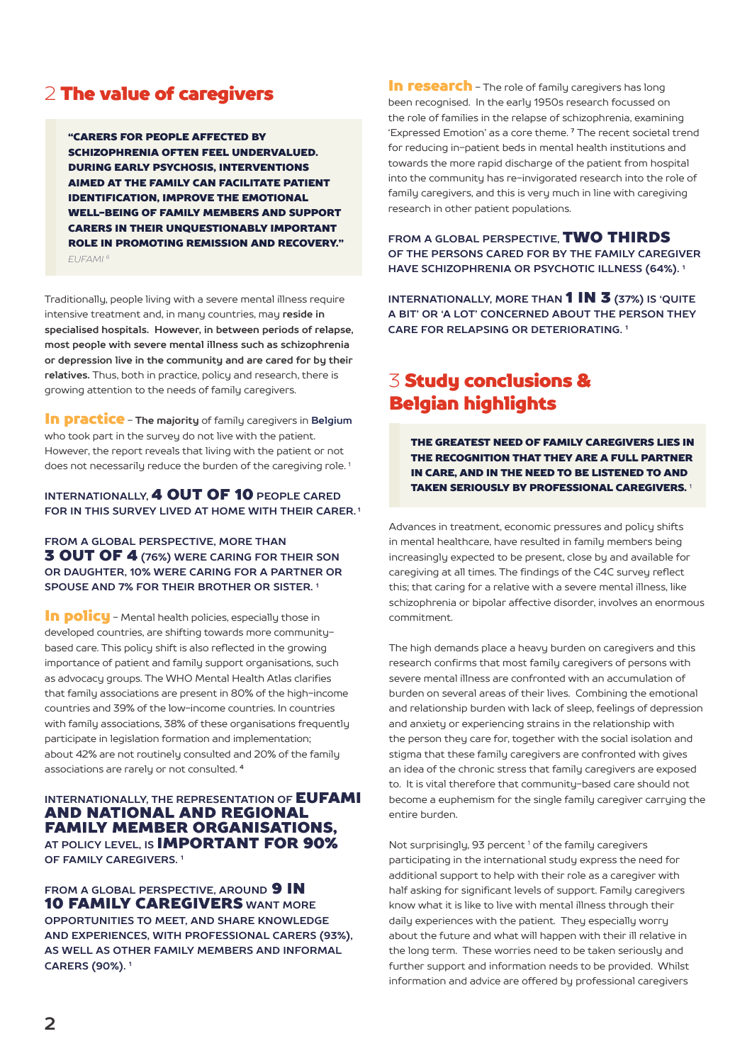# 2 The value of caregivers

"CARERS FOR PEOPLE AFFECTED BY SCHIZOPHRENIA OFTEN FEEL UNDERVALUED. DURING EARLY PSYCHOSIS, INTERVENTIONS AIMED AT THE FAMILY CAN FACILITATE PATIENT IDENTIFICATION, IMPROVE THE EMOTIONAL WELL-BEING OF FAMILY MEMBERS AND SUPPORT CARERS IN THEIR UNQUESTIONABLY IMPORTANT ROLE IN PROMOTING REMISSION AND RECOVERY." *EUFAMI 6*

Traditionally, people living with a severe mental illness require intensive treatment and, in many countries, may **reside in specialised hospitals. However, in between periods of relapse, most people with severe mental illness such as schizophrenia or depression live in the community and are cared for by their relatives.** Thus, both in practice, policy and research, there is growing attention to the needs of family caregivers.

In practice - **The majority** of family caregivers in **Belgium** who took part in the survey do not live with the patient. However, the report reveals that living with the patient or not does not necessarily reduce the burden of the caregiving role.<sup>1</sup>

### **INTERNATIONALLY,** 4 OUT OF 10 **PEOPLE CARED FOR IN THIS SURVEY LIVED AT HOME WITH THEIR CARER. 1**

**FROM A GLOBAL PERSPECTIVE, MORE THAN** 3 OUT OF 4 **(76%) WERE CARING FOR THEIR SON OR DAUGHTER, 10% WERE CARING FOR A PARTNER OR SPOUSE AND 7% FOR THEIR BROTHER OR SISTER. 1**

In policu - Mental health policies, especially those in developed countries, are shifting towards more communitybased care. This policy shift is also reflected in the growing importance of patient and family support organisations, such as advocacy groups. The WHO Mental Health Atlas clarifies that family associations are present in 80% of the high-income countries and 39% of the low-income countries. In countries with family associations, 38% of these organisations frequently participate in legislation formation and implementation; about 42% are not routinely consulted and 20% of the family associations are rarely or not consulted. **<sup>4</sup>**

#### **INTERNATIONALLY, THE REPRESENTATION OF EUFAMI** AND NATIONAL AND REGIONAL FAMILY MEMBER ORGANISATIONS, **AT POLICY LEVEL, IS** IMPORTANT FOR 90% **OF FAMILY CAREGIVERS. 1**

**FROM A GLOBAL PERSPECTIVE. AROUND 9 IN** 10 FAMILY CAREGIVERS **WANT MORE OPPORTUNITIES TO MEET, AND SHARE KNOWLEDGE AND EXPERIENCES, WITH PROFESSIONAL CARERS (93%), AS WELL AS OTHER FAMILY MEMBERS AND INFORMAL CARERS (90%). 1**

In research - The role of family caregivers has long been recognised. In the early 1950s research focussed on the role of families in the relapse of schizophrenia, examining 'Expressed Emotion' as a core theme. **7** The recent societal trend for reducing in-patient beds in mental health institutions and towards the more rapid discharge of the patient from hospital into the community has re-invigorated research into the role of family caregivers, and this is very much in line with caregiving research in other patient populations.

**FROM A GLOBAL PERSPECTIVE,** TWO THIRDS **OF THE PERSONS CARED FOR BY THE FAMILY CAREGIVER HAVE SCHIZOPHRENIA OR PSYCHOTIC ILLNESS (64%). 1**

**INTERNATIONALLY, MORE THAN** 1 IN 3 **(37%) IS 'QUITE A BIT' OR 'A LOT' CONCERNED ABOUT THE PERSON THEY CARE FOR RELAPSING OR DETERIORATING. 1**

# 3 Study conclusions & Belgian highlights

THE GREATEST NEED OF FAMILY CAREGIVERS LIES IN THE RECOGNITION THAT THEY ARE A FULL PARTNER IN CARE, AND IN THE NEED TO BE LISTENED TO AND TAKEN SERIOUSLY BY PROFESSIONAL CAREGIVERS. <sup>1</sup>

Advances in treatment, economic pressures and policy shifts in mental healthcare, have resulted in family members being increasingly expected to be present, close by and available for caregiving at all times. The findings of the C4C survey reflect this; that caring for a relative with a severe mental illness, like schizophrenia or bipolar affective disorder, involves an enormous commitment.

The high demands place a heavy burden on caregivers and this research confirms that most family caregivers of persons with severe mental illness are confronted with an accumulation of burden on several areas of their lives. Combining the emotional and relationship burden with lack of sleep, feelings of depression and anxiety or experiencing strains in the relationship with the person they care for, together with the social isolation and stigma that these family caregivers are confronted with gives an idea of the chronic stress that family caregivers are exposed to. It is vital therefore that community-based care should not become a euphemism for the single family caregiver carrying the entire burden.

Not surprisingly, 93 percent<sup>1</sup> of the family caregivers participating in the international study express the need for additional support to help with their role as a caregiver with half asking for significant levels of support. Family caregivers know what it is like to live with mental illness through their daily experiences with the patient. They especially worry about the future and what will happen with their ill relative in the long term. These worries need to be taken seriously and further support and information needs to be provided. Whilst information and advice are offered by professional caregivers